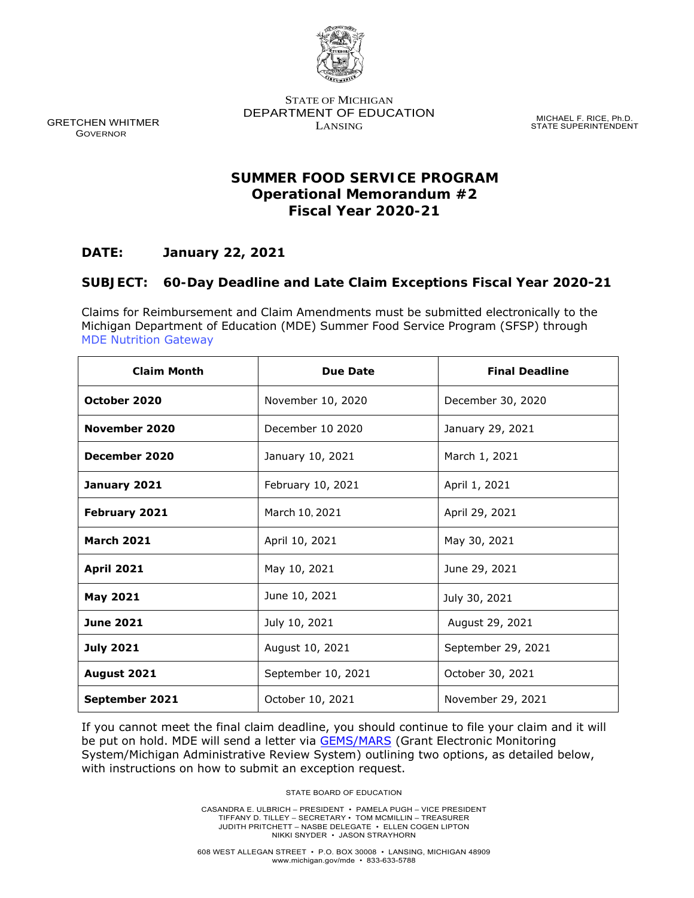

GRETCHEN WHITMER GOVERNOR

STATE OF MICHIGAN DEPARTMENT OF EDUCATION LANSING

MICHAEL F. RICE, Ph.D. STATE SUPERINTENDENT

# **SUMMER FOOD SERVICE PROGRAM Operational Memorandum #2 Fiscal Year 2020-21**

## **DATE: January 22, 2021**

## **SUBJECT: 60-Day Deadline and Late Claim Exceptions Fiscal Year 2020-21**

Claims for Reimbursement and Claim Amendments must be submitted electronically to the Michigan Department of Education (MDE) Summer Food Service Program (SFSP) through [MDE Nutrition Gateway](https://mdoe.state.mi.us/gateway/Authentication/Login?ReturnUrl=%2Fgateway)

| <b>Claim Month</b> | <b>Due Date</b>    | <b>Final Deadline</b> |
|--------------------|--------------------|-----------------------|
| October 2020       | November 10, 2020  | December 30, 2020     |
| November 2020      | December 10 2020   | January 29, 2021      |
| December 2020      | January 10, 2021   | March 1, 2021         |
| January 2021       | February 10, 2021  | April 1, 2021         |
| February 2021      | March 10, 2021     | April 29, 2021        |
| <b>March 2021</b>  | April 10, 2021     | May 30, 2021          |
| <b>April 2021</b>  | May 10, 2021       | June 29, 2021         |
| <b>May 2021</b>    | June 10, 2021      | July 30, 2021         |
| <b>June 2021</b>   | July 10, 2021      | August 29, 2021       |
| <b>July 2021</b>   | August 10, 2021    | September 29, 2021    |
| August 2021        | September 10, 2021 | October 30, 2021      |
| September 2021     | October 10, 2021   | November 29, 2021     |

If you cannot meet the final claim deadline, you should continue to file your claim and it will be put on hold. MDE will send a letter via [GEMS/MARS](https://mdoe.state.mi.us/GEMS/user/login.aspx?Mode=Logout) (Grant Electronic Monitoring System/Michigan Administrative Review System) outlining two options, as detailed below, with instructions on how to submit an exception request.

STATE BOARD OF EDUCATION

CASANDRA E. ULBRICH – PRESIDENT • PAMELA PUGH – VICE PRESIDENT TIFFANY D. TILLEY – SECRETARY • TOM MCMILLIN – TREASURER JUDITH PRITCHETT – NASBE DELEGATE • ELLEN COGEN LIPTON NIKKI SNYDER • JASON STRAYHORN